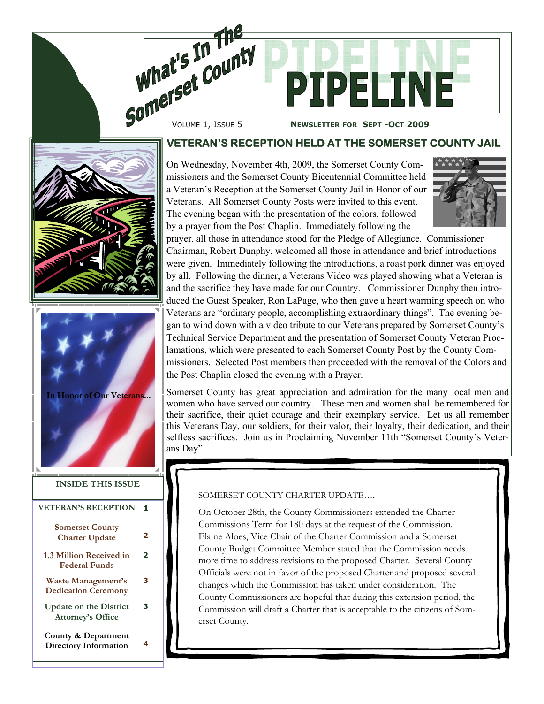

**NEWSLETTER FOR SEPT -OCT 2009** 





| <b>VETERAN'S RECEPTION</b>                                |   |
|-----------------------------------------------------------|---|
| <b>Somerset County</b><br><b>Charter Update</b>           | 2 |
| 1.3 Million Received in<br><b>Federal Funds</b>           | 2 |
| <b>Waste Management's</b><br><b>Dedication Ceremony</b>   | з |
| <b>Update on the District</b><br><b>Attorney's Office</b> | з |
| County & Department<br>Directory Information              | 4 |

## **VETERAN'S RECEPTION HELD AT THE SOMERSET COUNTY JAIL**

On Wednesday, November 4th, 2009, the Somerset County Commissioners and the Somerset County Bicentennial Committee held a Veteran's Reception at the Somerset County Jail in Honor of our Veterans. All Somerset County Posts were invited to this event. The evening began with the presentation of the colors, followed by a prayer from the Post Chaplin. Immediately following the



prayer, all those in attendance stood for the Pledge of Allegiance. Commissioner Chairman, Robert Dunphy, welcomed all those in attendance and brief introductions were given. Immediately following the introductions, a roast pork dinner was enjoyed by all. Following the dinner, a Veterans Video was played showing what a Veteran is and the sacrifice they have made for our Country. Commissioner Dunphy then introduced the Guest Speaker, Ron LaPage, who then gave a heart warming speech on who Veterans are "ordinary people, accomplishing extraordinary things". The evening began to wind down with a video tribute to our Veterans prepared by Somerset County's Technical Service Department and the presentation of Somerset County Veteran Proclamations, which were presented to each Somerset County Post by the County Commissioners. Selected Post members then proceeded with the removal of the Colors and the Post Chaplin closed the evening with a Prayer.

Somerset County has great appreciation and admiration for the many local men and women who have served our country. These men and women shall be remembered for their sacrifice, their quiet courage and their exemplary service. Let us all remember this Veterans Day, our soldiers, for their valor, their loyalty, their dedication, and their selfless sacrifices. Join us in Proclaiming November 11th "Somerset County's Veterans Day".

#### SOMERSET COUNTY CHARTER UPDATE….

On October 28th, the County Commissioners extended the Charter Commissions Term for 180 days at the request of the Commission. Elaine Aloes, Vice Chair of the Charter Commission and a Somerset County Budget Committee Member stated that the Commission needs more time to address revisions to the proposed Charter. Several County Officials were not in favor of the proposed Charter and proposed several changes which the Commission has taken under consideration. The County Commissioners are hopeful that during this extension period, the Commission will draft a Charter that is acceptable to the citizens of Somerset County.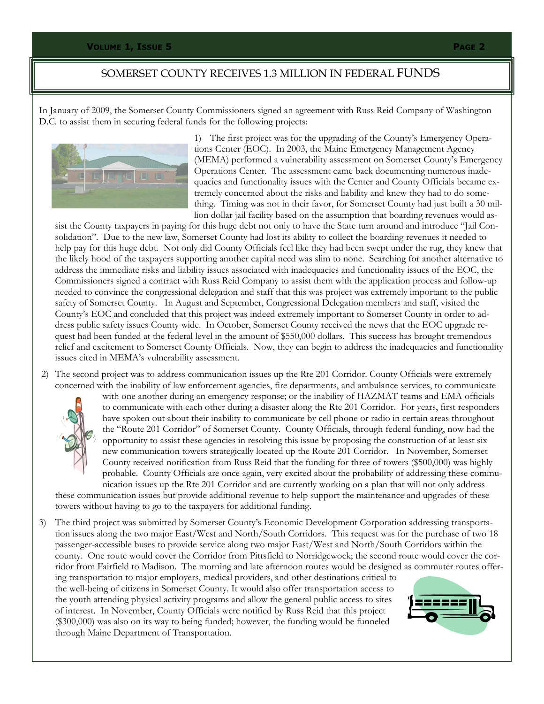### SOMERSET COUNTY RECEIVES 1.3 MILLION IN FEDERAL FUNDS

In January of 2009, the Somerset County Commissioners signed an agreement with Russ Reid Company of Washington D.C. to assist them in securing federal funds for the following projects:



1) The first project was for the upgrading of the County's Emergency Operations Center (EOC). In 2003, the Maine Emergency Management Agency (MEMA) performed a vulnerability assessment on Somerset County's Emergency Operations Center. The assessment came back documenting numerous inadequacies and functionality issues with the Center and County Officials became extremely concerned about the risks and liability and knew they had to do something. Timing was not in their favor, for Somerset County had just built a 30 million dollar jail facility based on the assumption that boarding revenues would as-

sist the County taxpayers in paying for this huge debt not only to have the State turn around and introduce "Jail Consolidation". Due to the new law, Somerset County had lost its ability to collect the boarding revenues it needed to help pay for this huge debt. Not only did County Officials feel like they had been swept under the rug, they knew that the likely hood of the taxpayers supporting another capital need was slim to none. Searching for another alternative to address the immediate risks and liability issues associated with inadequacies and functionality issues of the EOC, the Commissioners signed a contract with Russ Reid Company to assist them with the application process and follow-up needed to convince the congressional delegation and staff that this was project was extremely important to the public safety of Somerset County. In August and September, Congressional Delegation members and staff, visited the County's EOC and concluded that this project was indeed extremely important to Somerset County in order to address public safety issues County wide. In October, Somerset County received the news that the EOC upgrade request had been funded at the federal level in the amount of \$550,000 dollars. This success has brought tremendous relief and excitement to Somerset County Officials. Now, they can begin to address the inadequacies and functionality issues cited in MEMA's vulnerability assessment.

 2) The second project was to address communication issues up the Rte 201 Corridor. County Officials were extremely concerned with the inability of law enforcement agencies, fire departments, and ambulance services, to communicate



with one another during an emergency response; or the inability of HAZMAT teams and EMA officials to communicate with each other during a disaster along the Rte 201 Corridor. For years, first responders have spoken out about their inability to communicate by cell phone or radio in certain areas throughout the "Route 201 Corridor" of Somerset County. County Officials, through federal funding, now had the opportunity to assist these agencies in resolving this issue by proposing the construction of at least six new communication towers strategically located up the Route 201 Corridor. In November, Somerset County received notification from Russ Reid that the funding for three of towers (\$500,000) was highly probable. County Officials are once again, very excited about the probability of addressing these communication issues up the Rte 201 Corridor and are currently working on a plan that will not only address

these communication issues but provide additional revenue to help support the maintenance and upgrades of these towers without having to go to the taxpayers for additional funding.

3) The third project was submitted by Somerset County's Economic Development Corporation addressing transportation issues along the two major East/West and North/South Corridors. This request was for the purchase of two 18 passenger-accessible buses to provide service along two major East/West and North/South Corridors within the county. One route would cover the Corridor from Pittsfield to Norridgewock; the second route would cover the corridor from Fairfield to Madison. The morning and late afternoon routes would be designed as commuter routes offer-

ing transportation to major employers, medical providers, and other destinations critical to the well-being of citizens in Somerset County. It would also offer transportation access to the youth attending physical activity programs and allow the general public access to sites of interest. In November, County Officials were notified by Russ Reid that this project (\$300,000) was also on its way to being funded; however, the funding would be funneled through Maine Department of Transportation.

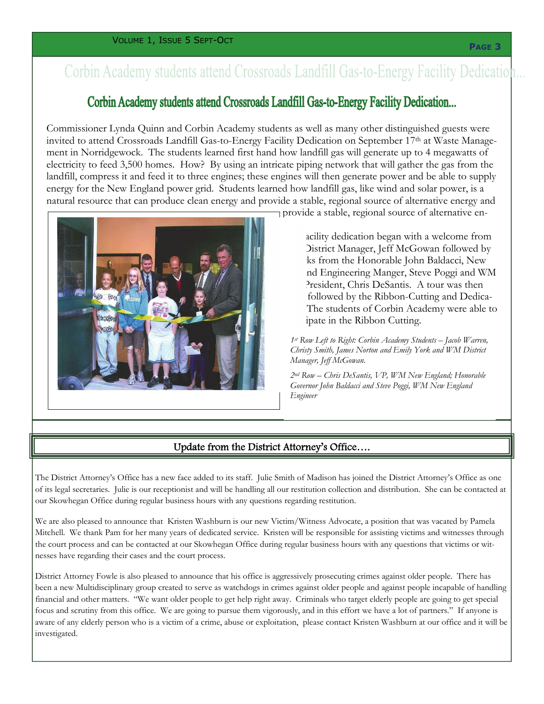# Corbin Academy students attend Crossroads Landfill Gas-to-Energy Facility Dedication...

# Corbin Academy students attend Crossroads Landfill Gas-to-Energy Facility Dedication...

Commissioner Lynda Quinn and Corbin Academy students as well as many other distinguished guests were invited to attend Crossroads Landfill Gas-to-Energy Facility Dedication on September 17th at Waste Management in Norridgewock. The students learned first hand how landfill gas will generate up to 4 megawatts of electricity to feed 3,500 homes. How? By using an intricate piping network that will gather the gas from the landfill, compress it and feed it to three engines; these engines will then generate power and be able to supply energy for the New England power grid. Students learned how landfill gas, like wind and solar power, is a natural resource that can produce clean energy and provide a stable, regional source of alternative energy and



provide a stable, regional source of alternative en-

acility dedication began with a welcome from District Manager, Jeff McGowan followed by ks from the Honorable John Baldacci, New nd Engineering Manger, Steve Poggi and WM President, Chris DeSantis. A tour was then followed by the Ribbon-Cutting and Dedica-The students of Corbin Academy were able to ipate in the Ribbon Cutting.

*1st Row Left to Right: Corbin Academy Students – Jacob Warren, Christy Smith, James Norton and Emily York and WM District Manager, Jeff McGowan.* 

*2nd Row – Chris DeSantis, VP, WM New England; Honorable Governor John Baldacci and Steve Poggi, WM New England Engineer* 

### Update from the District Attorney's Office….

The District Attorney's Office has a new face added to its staff. Julie Smith of Madison has joined the District Attorney's Office as one of its legal secretaries. Julie is our receptionist and will be handling all our restitution collection and distribution. She can be contacted at our Skowhegan Office during regular business hours with any questions regarding restitution.

We are also pleased to announce that Kristen Washburn is our new Victim/Witness Advocate, a position that was vacated by Pamela Mitchell. We thank Pam for her many years of dedicated service. Kristen will be responsible for assisting victims and witnesses through the court process and can be contacted at our Skowhegan Office during regular business hours with any questions that victims or witnesses have regarding their cases and the court process.

District Attorney Fowle is also pleased to announce that his office is aggressively prosecuting crimes against older people. There has been a new Multidisciplinary group created to serve as watchdogs in crimes against older people and against people incapable of handling financial and other matters. "We want older people to get help right away. Criminals who target elderly people are going to get special focus and scrutiny from this office. We are going to pursue them vigorously, and in this effort we have a lot of partners." If anyone is aware of any elderly person who is a victim of a crime, abuse or exploitation, please contact Kristen Washburn at our office and it will be investigated.